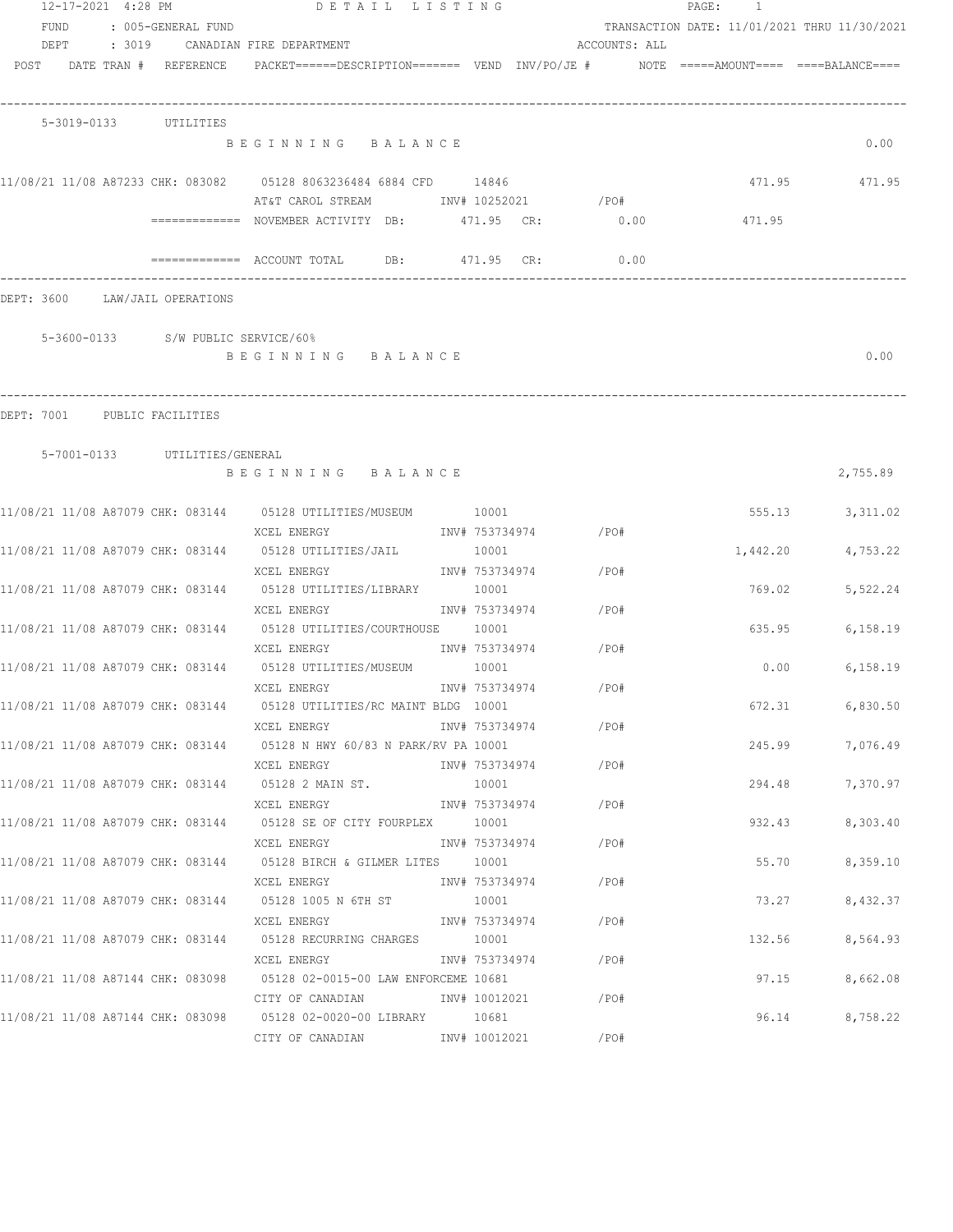| 12-17-2021 4:28 PM<br>FUND<br>DEPT | : 005-GENERAL FUND                 | DETAIL LISTING<br>: 3019     CANADIAN FIRE DEPARTMENT                                               |                               | ACCOUNTS: ALL | PAGE: 1<br>TRANSACTION DATE: 11/01/2021 THRU 11/30/2021 |               |
|------------------------------------|------------------------------------|-----------------------------------------------------------------------------------------------------|-------------------------------|---------------|---------------------------------------------------------|---------------|
|                                    | POST DATE TRAN # REFERENCE         | PACKET======DESCRIPTION========  VEND   INV/PO/JE #          NOTE  =====AMOUNT====  ====BALANCE==== |                               |               |                                                         |               |
|                                    | 5-3019-0133 UTILITIES              |                                                                                                     |                               |               |                                                         |               |
|                                    |                                    | BEGINNING BALANCE                                                                                   |                               |               |                                                         | 0.00          |
|                                    |                                    | AT&T CAROL STREAM MOTHER INV# 10252021 / PO#                                                        |                               |               |                                                         | 471.95 471.95 |
|                                    |                                    | ============ NOVEMBER ACTIVITY DB: 471.95 CR: 0.00                                                  |                               |               | 471.95                                                  |               |
|                                    |                                    | $\overline{\phantom{1}}$ ============= ACCOUNT TOTAL DB: 471.95 CR:                                 |                               | 0.00          |                                                         |               |
|                                    | DEPT: 3600 LAW/JAIL OPERATIONS     |                                                                                                     |                               |               |                                                         |               |
|                                    | 5-3600-0133 S/W PUBLIC SERVICE/60% |                                                                                                     |                               |               |                                                         |               |
|                                    |                                    | BEGINNING BALANCE                                                                                   |                               |               |                                                         | 0.00          |
|                                    | DEPT: 7001 PUBLIC FACILITIES       |                                                                                                     |                               |               |                                                         |               |
|                                    | 5-7001-0133 UTILITIES/GENERAL      |                                                                                                     |                               |               |                                                         |               |
|                                    |                                    | BEGINNING BALANCE                                                                                   |                               |               |                                                         | 2,755.89      |
|                                    |                                    | 11/08/21 11/08 A87079 CHK: 083144 05128 UTILITIES/MUSEUM 10001                                      |                               |               | 555.13                                                  | 3,311.02      |
|                                    |                                    | XCEL ENERGY<br>11/08/21 11/08 A87079 CHK: 083144 05128 UTILITIES/JAIL                               | INV# 753734974 / PO#<br>10001 |               | 1,442.20                                                | 4,753.22      |
|                                    |                                    | XCEL ENERGY<br>11/08/21 11/08 A87079 CHK: 083144 05128 UTILITIES/LIBRARY 10001                      | INV# 753734974 / PO#          |               | 769.02                                                  | 5,522.24      |
|                                    |                                    | XCEL ENERGY                                                                                         | INV# 753734974                | /PO#          |                                                         |               |
|                                    |                                    | 11/08/21 11/08 A87079 CHK: 083144 05128 UTILITIES/COURTHOUSE 10001<br>XCEL ENERGY                   | INV# 753734974                | /PO#          | 635.95                                                  | 6, 158.19     |
|                                    |                                    | 11/08/21 11/08 A87079 CHK: 083144 05128 UTILITIES/MUSEUM 10001<br>XCEL ENERGY                       | INV# 753734974                | /PO#          | 0.00                                                    | 6,158.19      |
|                                    |                                    | 11/08/21 11/08 A87079 CHK: 083144 05128 UTILITIES/RC MAINT BLDG 10001                               |                               |               | 672.31                                                  | 6,830.50      |
|                                    |                                    | XCEL ENERGY<br>11/08/21 11/08 A87079 CHK: 083144 05128 N HWY 60/83 N PARK/RV PA 10001               | INV# 753734974                | /PO#          | 245.99                                                  | 7,076.49      |
|                                    |                                    | XCEL ENERGY<br>11/08/21 11/08 A87079 CHK: 083144 05128 2 MAIN ST.                                   | INV# 753734974<br>10001       | /PO#          | 294.48                                                  | 7,370.97      |
|                                    |                                    | XCEL ENERGY                                                                                         | INV# 753734974                | /PO#          |                                                         |               |
|                                    |                                    | 11/08/21 11/08 A87079 CHK: 083144 05128 SE OF CITY FOURPLEX<br>XCEL ENERGY                          | 10001<br>INV# 753734974       | /PO#          | 932.43                                                  | 8,303.40      |
|                                    |                                    | 11/08/21 11/08 A87079 CHK: 083144 05128 BIRCH & GILMER LITES 10001<br>XCEL ENERGY                   | INV# 753734974                | /PO#          | 55.70                                                   | 8,359.10      |
|                                    |                                    | 11/08/21 11/08 A87079 CHK: 083144 05128 1005 N 6TH ST                                               | 10001                         |               | 73.27                                                   | 8,432.37      |
|                                    |                                    | XCEL ENERGY<br>11/08/21 11/08 A87079 CHK: 083144 05128 RECURRING CHARGES                            | INV# 753734974<br>10001       | /PO#          | 132.56                                                  | 8,564.93      |
|                                    |                                    | XCEL ENERGY                                                                                         | INV# 753734974                | /PO#          |                                                         |               |
|                                    |                                    | 11/08/21 11/08 A87144 CHK: 083098 05128 02-0015-00 LAW ENFORCEME 10681<br>CITY OF CANADIAN          | INV# 10012021                 | /PO#          | 97.15                                                   | 8,662.08      |
|                                    |                                    |                                                                                                     | 10681                         |               | 96.14                                                   | 8,758.22      |
|                                    |                                    | CITY OF CANADIAN                                                                                    | INV# 10012021                 | /PO#          |                                                         |               |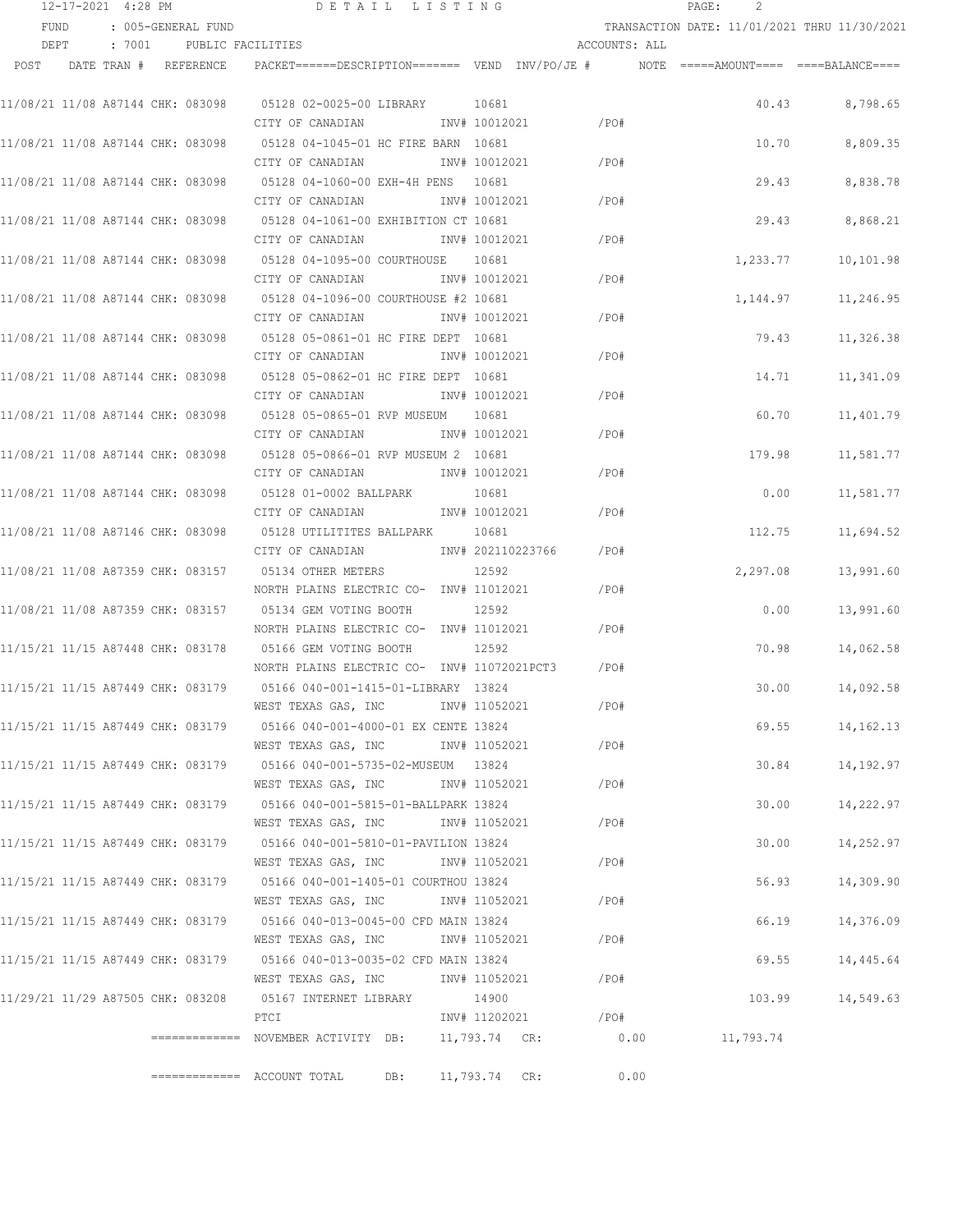|      | 12-17-2021 4:28 PM |  |                                   | DETAIL LISTING                                                                                    |                 |                   |         |               | PAGE: | 2         |                                              |
|------|--------------------|--|-----------------------------------|---------------------------------------------------------------------------------------------------|-----------------|-------------------|---------|---------------|-------|-----------|----------------------------------------------|
|      | FUND               |  | : 005-GENERAL FUND                |                                                                                                   |                 |                   |         |               |       |           | TRANSACTION DATE: 11/01/2021 THRU 11/30/2021 |
|      | DEPT               |  | : 7001 PUBLIC FACILITIES          |                                                                                                   |                 |                   |         | ACCOUNTS: ALL |       |           |                                              |
| POST |                    |  | DATE TRAN # REFERENCE             | PACKET======DESCRIPTION========  VEND  INV/PO/JE #         NOTE  =====AMOUNT====  ====BALANCE==== |                 |                   |         |               |       |           |                                              |
|      |                    |  | 11/08/21 11/08 A87144 CHK: 083098 | 05128 02-0025-00 LIBRARY 10681                                                                    |                 |                   |         |               |       | 40.43     | 8,798.65                                     |
|      |                    |  |                                   | CITY OF CANADIAN                                                                                  | INV# 10012021   |                   | /PO#    |               |       |           |                                              |
|      |                    |  | 11/08/21 11/08 A87144 CHK: 083098 | 05128 04-1045-01 HC FIRE BARN 10681                                                               |                 |                   |         |               |       | 10.70     | 8,809.35                                     |
|      |                    |  |                                   | CITY OF CANADIAN                                                                                  | INV# 10012021   |                   | /PO#    |               |       |           |                                              |
|      |                    |  | 11/08/21 11/08 A87144 CHK: 083098 | 05128 04-1060-00 EXH-4H PENS 10681                                                                |                 |                   |         |               |       | 29.43     | 8,838.78                                     |
|      |                    |  |                                   | CITY OF CANADIAN                                                                                  | INV# 10012021   |                   | /PO#    |               |       |           |                                              |
|      |                    |  | 11/08/21 11/08 A87144 CHK: 083098 | 05128 04-1061-00 EXHIBITION CT 10681                                                              |                 |                   |         |               |       | 29.43     | 8,868.21                                     |
|      |                    |  |                                   | CITY OF CANADIAN                                                                                  | INV# 10012021   |                   | /PO#    |               |       |           |                                              |
|      |                    |  | 11/08/21 11/08 A87144 CHK: 083098 | 05128 04-1095-00 COURTHOUSE 10681                                                                 |                 |                   |         |               |       | 1,233.77  | 10,101.98                                    |
|      |                    |  |                                   | CITY OF CANADIAN                                                                                  | INV# 10012021   |                   | /PO#    |               |       |           |                                              |
|      |                    |  |                                   | 11/08/21 11/08 A87144 CHK: 083098 05128 04-1096-00 COURTHOUSE #2 10681                            |                 |                   |         |               |       | 1,144.97  | 11,246.95                                    |
|      |                    |  |                                   | CITY OF CANADIAN                                                                                  | INV# 10012021   |                   | /PO#    |               |       |           |                                              |
|      |                    |  |                                   |                                                                                                   |                 |                   |         |               |       | 79.43     | 11,326.38                                    |
|      |                    |  |                                   | CITY OF CANADIAN                                                                                  | INV# 10012021   |                   | $/$ PO# |               |       |           |                                              |
|      |                    |  |                                   |                                                                                                   |                 |                   |         |               |       | 14.71     | 11,341.09                                    |
|      |                    |  |                                   | CITY OF CANADIAN                                                                                  | INV# 10012021   |                   | /PO#    |               |       |           |                                              |
|      |                    |  |                                   | 11/08/21 11/08 A87144 CHK: 083098 05128 05-0865-01 RVP MUSEUM 10681                               |                 |                   |         |               |       | 60.70     | 11,401.79                                    |
|      |                    |  |                                   | CITY OF CANADIAN                                                                                  | INV# 10012021   |                   | /PO#    |               |       |           |                                              |
|      |                    |  | 11/08/21 11/08 A87144 CHK: 083098 | 05128 05-0866-01 RVP MUSEUM 2 10681                                                               |                 |                   |         |               |       | 179.98    | 11,581.77                                    |
|      |                    |  |                                   | CITY OF CANADIAN                                                                                  | INV# 10012021   |                   | /PO#    |               |       |           |                                              |
|      |                    |  | 11/08/21 11/08 A87144 CHK: 083098 | 05128 01-0002 BALLPARK                                                                            | 10681           |                   |         |               |       | 0.00      | 11,581.77                                    |
|      |                    |  |                                   | CITY OF CANADIAN                                                                                  | INV# 10012021   |                   | /PO#    |               |       |           |                                              |
|      |                    |  | 11/08/21 11/08 A87146 CHK: 083098 | 05128 UTILITITES BALLPARK                                                                         | 10681           |                   |         |               |       | 112.75    | 11,694.52                                    |
|      |                    |  |                                   | CITY OF CANADIAN                                                                                  |                 | INV# 202110223766 | /PO#    |               |       |           |                                              |
|      |                    |  | 11/08/21 11/08 A87359 CHK: 083157 | 05134 OTHER METERS                                                                                | 12592           |                   |         |               |       | 2,297.08  | 13,991.60                                    |
|      |                    |  |                                   | NORTH PLAINS ELECTRIC CO- INV# 11012021                                                           |                 |                   | /PO#    |               |       |           |                                              |
|      |                    |  | 11/08/21 11/08 A87359 CHK: 083157 | 05134 GEM VOTING BOOTH                                                                            | 12592           |                   |         |               |       | 0.00      | 13,991.60                                    |
|      |                    |  |                                   | NORTH PLAINS ELECTRIC CO- INV# 11012021                                                           |                 |                   | /PO#    |               |       |           |                                              |
|      |                    |  |                                   | 11/15/21 11/15 A87448 CHK: 083178 05166 GEM VOTING BOOTH                                          | 12592           |                   |         |               |       | 70.98     | 14,062.58                                    |
|      |                    |  |                                   | NORTH PLAINS ELECTRIC CO- INV# 11072021PCT3                                                       |                 |                   | /PO#    |               |       |           |                                              |
|      |                    |  |                                   |                                                                                                   |                 |                   |         |               |       | 30.00     | 14,092.58                                    |
|      |                    |  |                                   | WEST TEXAS GAS, INC                                                                               | INV# 11052021   |                   | /PO#    |               |       |           |                                              |
|      |                    |  | 11/15/21 11/15 A87449 CHK: 083179 | 05166 040-001-4000-01 EX CENTE 13824                                                              |                 |                   |         |               |       | 69.55     | 14,162.13                                    |
|      |                    |  |                                   | WEST TEXAS GAS, INC                                                                               | INV# 11052021   |                   | /PO#    |               |       |           |                                              |
|      |                    |  |                                   |                                                                                                   |                 |                   |         |               |       | 30.84     | 14,192.97                                    |
|      |                    |  |                                   | WEST TEXAS GAS, INC                                                                               | INV# 11052021   |                   | $/$ PO# |               |       |           |                                              |
|      |                    |  | 11/15/21 11/15 A87449 CHK: 083179 | 05166 040-001-5815-01-BALLPARK 13824                                                              |                 |                   |         |               |       | 30.00     | 14,222.97                                    |
|      |                    |  |                                   | WEST TEXAS GAS, INC                                                                               | INV# 11052021   |                   | /PO#    |               |       |           |                                              |
|      |                    |  | 11/15/21 11/15 A87449 CHK: 083179 | 05166 040-001-5810-01-PAVILION 13824                                                              |                 |                   |         |               |       | 30.00     | 14,252.97                                    |
|      |                    |  |                                   | WEST TEXAS GAS, INC                                                                               | INV# 11052021   |                   | /PO#    |               |       |           |                                              |
|      |                    |  | 11/15/21 11/15 A87449 CHK: 083179 | 05166 040-001-1405-01 COURTHOU 13824                                                              |                 |                   |         |               |       | 56.93     | 14,309.90                                    |
|      |                    |  |                                   | WEST TEXAS GAS, INC                                                                               | INV# 11052021   |                   | /PO#    |               |       |           |                                              |
|      |                    |  |                                   |                                                                                                   |                 |                   |         |               |       |           |                                              |
|      |                    |  | 11/15/21 11/15 A87449 CHK: 083179 | 05166 040-013-0045-00 CFD MAIN 13824<br>WEST TEXAS GAS, INC                                       | INV# 11052021   |                   | /PO#    |               |       | 66.19     | 14,376.09                                    |
|      |                    |  |                                   |                                                                                                   |                 |                   |         |               |       |           |                                              |
|      |                    |  | 11/15/21 11/15 A87449 CHK: 083179 | 05166 040-013-0035-02 CFD MAIN 13824<br>WEST TEXAS GAS, INC                                       | INV# 11052021   |                   | /PO#    |               |       | 69.55     | 14,445.64                                    |
|      |                    |  |                                   |                                                                                                   |                 |                   |         |               |       |           |                                              |
|      |                    |  | 11/29/21 11/29 A87505 CHK: 083208 | 05167 INTERNET LIBRARY<br>PTCI                                                                    | 14900           |                   | /PO#    |               |       | 103.99    | 14,549.63                                    |
|      |                    |  |                                   |                                                                                                   | INV# 11202021   |                   |         |               |       |           |                                              |
|      |                    |  |                                   | ============= NOVEMBER ACTIVITY DB:                                                               |                 | 11,793.74 CR:     | 0.00    |               |       | 11,793.74 |                                              |
|      |                    |  |                                   | $\equiv$ ============ ACCOUNT TOTAL<br>DB:                                                        | $11,793.74$ CR: |                   |         | 0.00          |       |           |                                              |
|      |                    |  |                                   |                                                                                                   |                 |                   |         |               |       |           |                                              |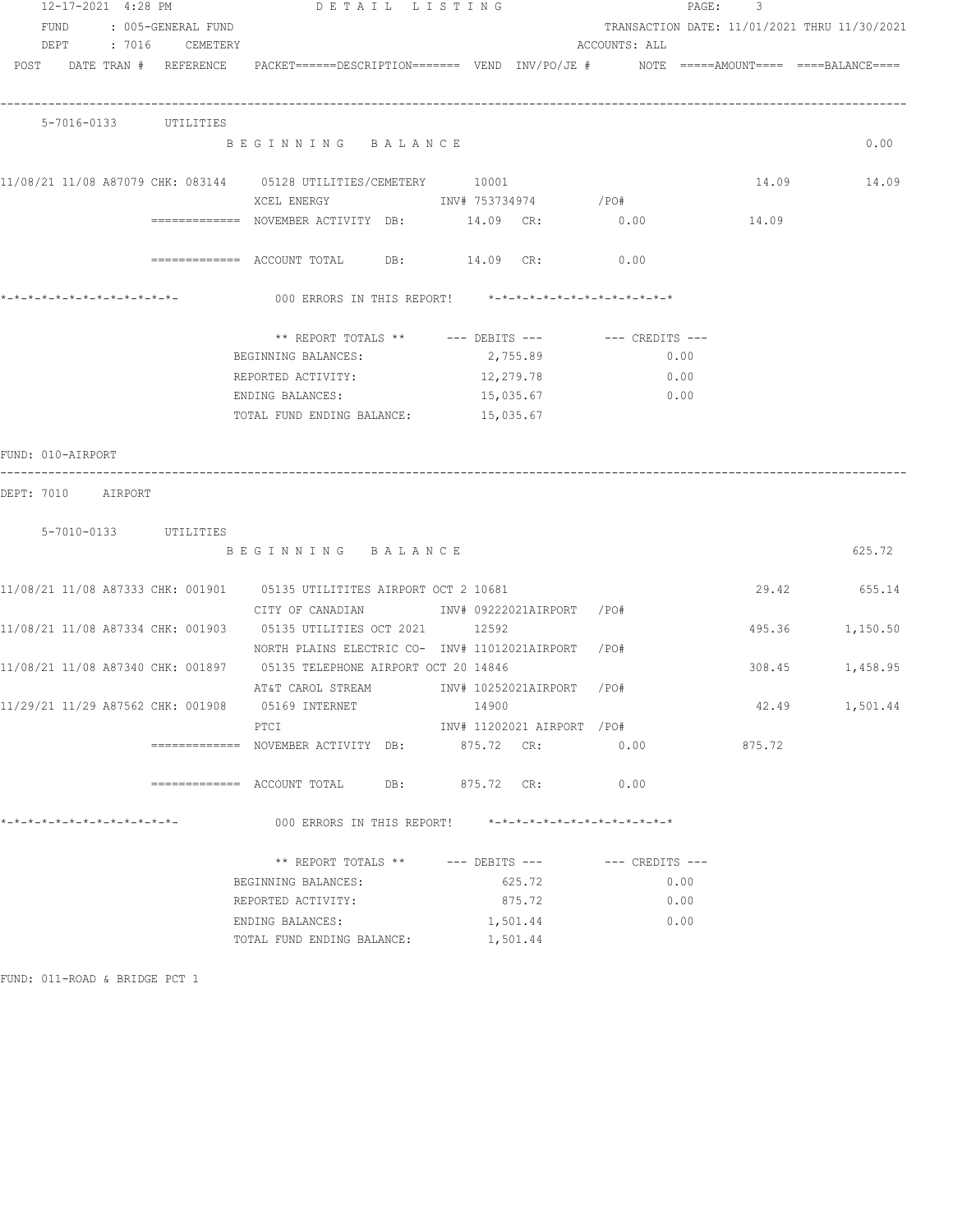| 12-17-2021 4:28 PM                               |                    | DETAIL LISTING                                                                                                                |                             | PAGE:                                                         | 3      |                 |
|--------------------------------------------------|--------------------|-------------------------------------------------------------------------------------------------------------------------------|-----------------------------|---------------------------------------------------------------|--------|-----------------|
| FUND<br>DEPT : 7016 CEMETERY                     | : 005-GENERAL FUND |                                                                                                                               |                             | TRANSACTION DATE: 11/01/2021 THRU 11/30/2021<br>ACCOUNTS: ALL |        |                 |
|                                                  |                    | POST DATE TRAN # REFERENCE PACKET======DESCRIPTION======= VEND INV/PO/JE # NOTE =====AMOUNT==== ===BALANCE====                |                             |                                                               |        |                 |
| 5-7016-0133 UTILITIES                            |                    |                                                                                                                               |                             |                                                               |        |                 |
|                                                  |                    | BEGINNING BALANCE                                                                                                             |                             |                                                               |        | 0.00            |
|                                                  |                    | 11/08/21 11/08 A87079 CHK: 083144 05128 UTILITIES/CEMETERY 10001                                                              |                             |                                                               |        | 14.09 14.09     |
|                                                  |                    | ============= NOVEMBER ACTIVITY DB: $14.09$ CR: $0.00$ $14.09$                                                                |                             |                                                               |        |                 |
|                                                  |                    | $\texttt{-----}$ ========== ACCOUNT TOTAL DB: $14.09$ CR: $0.00$                                                              |                             |                                                               |        |                 |
|                                                  |                    | 000 ERRORS IN THIS REPORT! *-*-*-*-*-*-*-*-*-*-*-*-*-*-                                                                       |                             |                                                               |        |                 |
|                                                  |                    | ** REPORT TOTALS ** --- DEBITS --- -- CREDITS ---<br>BEGINNING BALANCES:                                                      | 2,755.89                    | 0.00                                                          |        |                 |
|                                                  |                    | REPORTED ACTIVITY:                                                                                                            | 12,279.78                   | 0.00                                                          |        |                 |
|                                                  |                    | ENDING BALANCES:                                                                                                              | 15,035.67                   | 0.00                                                          |        |                 |
|                                                  |                    | TOTAL FUND ENDING BALANCE: 15,035.67                                                                                          |                             |                                                               |        |                 |
| FUND: 010-AIRPORT                                |                    |                                                                                                                               |                             |                                                               |        |                 |
| DEPT: 7010 AIRPORT                               |                    |                                                                                                                               |                             |                                                               |        |                 |
| 5-7010-0133 UTILITIES                            |                    | BEGINNING BALANCE                                                                                                             |                             |                                                               |        | 625.72          |
|                                                  |                    | 11/08/21 11/08 A87333 CHK: 001901 05135 UTILITITES AIRPORT OCT 2 10681                                                        |                             |                                                               | 29.42  | 655.14          |
|                                                  |                    | CITY OF CANADIAN              INV# 09222021AIRPORT   /PO#<br>11/08/21 11/08 A87334 CHK: 001903 05135 UTILITIES OCT 2021 12592 |                             |                                                               |        | 495.36 1,150.50 |
|                                                  |                    | NORTH PLAINS ELECTRIC CO- INV# 11012021AIRPORT /PO#                                                                           |                             |                                                               |        |                 |
|                                                  |                    | 11/08/21 11/08 A87340 CHK: 001897 05135 TELEPHONE AIRPORT OCT 20 14846                                                        |                             |                                                               | 308.45 | 1,458.95        |
| 11/29/21 11/29 A87562 CHK: 001908 05169 INTERNET |                    | AT&T CAROL STREAM TNV# 10252021AIRPORT /PO#                                                                                   | 14900                       |                                                               | 42.49  | 1,501.44        |
|                                                  |                    | PTCI                                                                                                                          | INV# 11202021 AIRPORT / PO# |                                                               |        |                 |
|                                                  |                    | ============= NOVEMBER ACTIVITY DB: 875.72 CR:                                                                                |                             | 0.00                                                          | 875.72 |                 |
|                                                  |                    |                                                                                                                               |                             | 0.00                                                          |        |                 |
| *-*-*-*-*-*-*-*-*-*-*-*-*-*-                     |                    | 000 ERRORS IN THIS REPORT! *-*-*-*-*-*-*-*-*-*-*-*-*-*-                                                                       |                             |                                                               |        |                 |
|                                                  |                    | ** REPORT TOTALS ** --- DEBITS --- -- CREDITS ---                                                                             |                             |                                                               |        |                 |
|                                                  |                    | BEGINNING BALANCES:                                                                                                           | 625.72                      | 0.00                                                          |        |                 |
|                                                  |                    | REPORTED ACTIVITY:                                                                                                            | 875.72                      | 0.00                                                          |        |                 |
|                                                  |                    | ENDING BALANCES:                                                                                                              | 1,501.44                    | 0.00                                                          |        |                 |
|                                                  |                    | TOTAL FUND ENDING BALANCE:                                                                                                    | 1,501.44                    |                                                               |        |                 |

FUND: 011-ROAD & BRIDGE PCT 1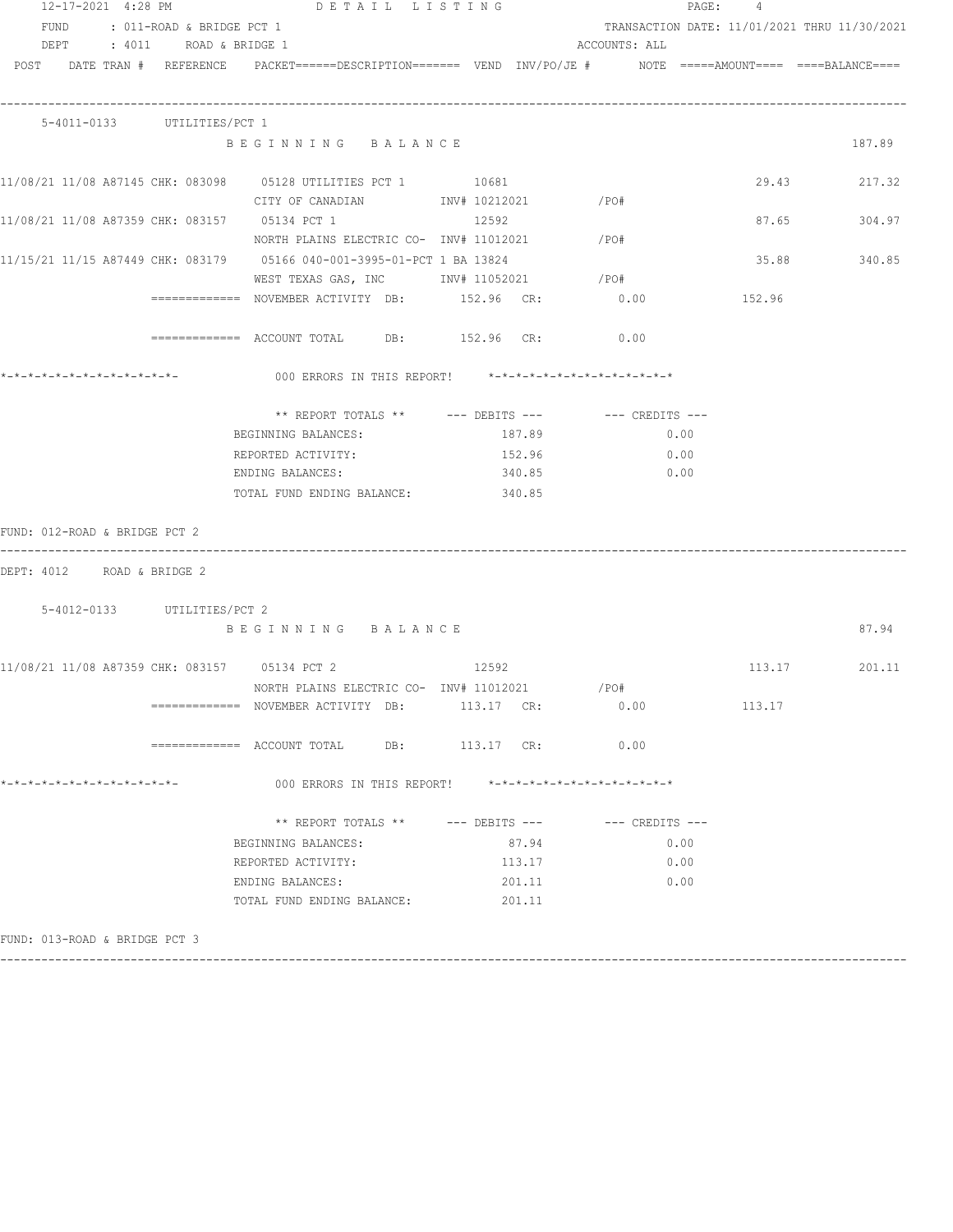| 12-17-2021 4:28 PM                              | DETAIL LISTING                                                                                                                                                                                                                                                     |                    |                                              | PAGE: 4 |               |
|-------------------------------------------------|--------------------------------------------------------------------------------------------------------------------------------------------------------------------------------------------------------------------------------------------------------------------|--------------------|----------------------------------------------|---------|---------------|
| FUND : 011-ROAD & BRIDGE PCT 1                  |                                                                                                                                                                                                                                                                    |                    | TRANSACTION DATE: 11/01/2021 THRU 11/30/2021 |         |               |
| DEPT : 4011 ROAD & BRIDGE 1                     |                                                                                                                                                                                                                                                                    |                    | ACCOUNTS: ALL                                |         |               |
|                                                 | POST DATE TRAN # REFERENCE PACKET======DESCRIPTION======= VEND INV/PO/JE # NOTE =====AMOUNT==== ====BALANCE====                                                                                                                                                    |                    |                                              |         |               |
| 5-4011-0133 UTILITIES/PCT 1                     |                                                                                                                                                                                                                                                                    |                    |                                              |         |               |
|                                                 | BEGINNING BALANCE                                                                                                                                                                                                                                                  |                    |                                              |         | 187.89        |
|                                                 |                                                                                                                                                                                                                                                                    |                    |                                              |         | 29.43 217.32  |
|                                                 | CITY OF CANADIAN 10212021 / PO#                                                                                                                                                                                                                                    |                    |                                              |         |               |
|                                                 | 11/08/21 11/08 A87359 CHK: 083157 05134 PCT 1 12592                                                                                                                                                                                                                |                    |                                              |         | 87.65 304.97  |
|                                                 | NORTH PLAINS ELECTRIC CO- INV# 11012021 / PO#                                                                                                                                                                                                                      |                    |                                              |         |               |
|                                                 | 11/15/21 11/15 A87449 CHK: 083179   05166 040-001-3995-01-PCT 1 BA 13824                                                                                                                                                                                           |                    |                                              |         | 35.88 340.85  |
|                                                 | WEST TEXAS GAS, INC MONTH 11052021 / PO#                                                                                                                                                                                                                           |                    |                                              |         |               |
|                                                 | ============ NOVEMBER ACTIVITY DB: $152.96$ CR: $0.00$ $152.96$                                                                                                                                                                                                    |                    |                                              |         |               |
|                                                 | ============ ACCOUNT TOTAL DB: 152.96 CR: 0.00                                                                                                                                                                                                                     |                    |                                              |         |               |
|                                                 | 000 ERRORS IN THIS REPORT! *-*-*-*-*-*-*-*-*-*-*-*-*-*-                                                                                                                                                                                                            |                    |                                              |         |               |
|                                                 |                                                                                                                                                                                                                                                                    |                    |                                              |         |               |
|                                                 |                                                                                                                                                                                                                                                                    |                    |                                              |         |               |
|                                                 | BEGINNING BALANCES:                                                                                                                                                                                                                                                | 187.89             | 0.00                                         |         |               |
|                                                 | REPORTED ACTIVITY: 152.96                                                                                                                                                                                                                                          |                    | $\sim$ 0.00                                  |         |               |
|                                                 | ENDING BALANCES: The Same of the Second Second Second Second Second Second Second Second Second Second Second Second Second Second Second Second Second Second Second Second Second Second Second Second Second Second Second<br>TOTAL FUND ENDING BALANCE: 340.85 | 340.85             | 0.00                                         |         |               |
| FUND: 012-ROAD & BRIDGE PCT 2                   |                                                                                                                                                                                                                                                                    |                    |                                              |         |               |
| DEPT: 4012 ROAD & BRIDGE 2                      |                                                                                                                                                                                                                                                                    |                    |                                              |         |               |
| 5-4012-0133 UTILITIES/PCT 2                     |                                                                                                                                                                                                                                                                    |                    |                                              |         |               |
|                                                 | BEGINNING BALANCE                                                                                                                                                                                                                                                  |                    |                                              |         | 87.94         |
|                                                 | 11/08/21 11/08 A87359 CHK: 083157 05134 PCT 2 12592                                                                                                                                                                                                                |                    |                                              |         | 113.17 201.11 |
|                                                 | NORTH PLAINS ELECTRIC CO- INV# 11012021 / PO#                                                                                                                                                                                                                      |                    |                                              |         |               |
|                                                 | ============= NOVEMBER ACTIVITY DB:                                                                                                                                                                                                                                | 113.17 CR:         | 0.00                                         | 113.17  |               |
|                                                 | ============= ACCOUNT TOTAL<br>DB:                                                                                                                                                                                                                                 | 113.17 CR:         | 0.00                                         |         |               |
| *-*-*-*-*-*-*-*-*-*-*-*-*-*-                    | 000 ERRORS IN THIS REPORT!                                                                                                                                                                                                                                         |                    | *-*-*-*-*-*-*-*-*-*-*-*-*-*-*                |         |               |
|                                                 | ** REPORT TOTALS **                                                                                                                                                                                                                                                | $---$ DEBITS $---$ | $---$ CREDITS $---$                          |         |               |
|                                                 | BEGINNING BALANCES:                                                                                                                                                                                                                                                | 87.94              | 0.00                                         |         |               |
|                                                 | REPORTED ACTIVITY:                                                                                                                                                                                                                                                 | 113.17             | 0.00                                         |         |               |
|                                                 | ENDING BALANCES:                                                                                                                                                                                                                                                   | 201.11             | 0.00                                         |         |               |
|                                                 | TOTAL FUND ENDING BALANCE:                                                                                                                                                                                                                                         | 201.11             |                                              |         |               |
| ? יחי <i>ו</i> ת ישימודים מיוחדות מותחות התוחות |                                                                                                                                                                                                                                                                    |                    |                                              |         |               |

FUND: 013-ROAD & BRIDGE PCT 3 ------------------------------------------------------------------------------------------------------------------------------------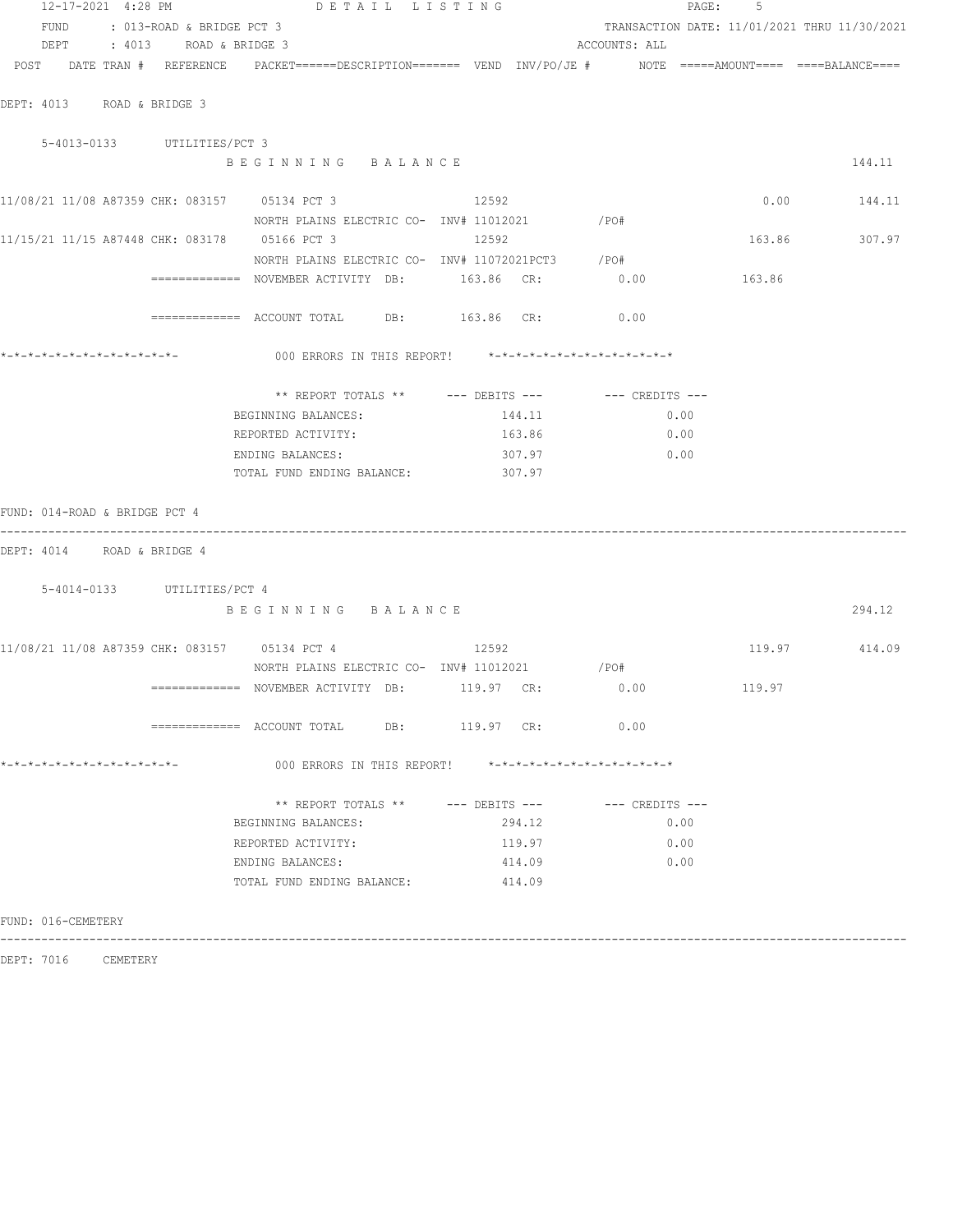| 12-17-2021 4:28 PM                                                                                              | DETAIL LISTING                                                          |                |                                                         | PAGE: 5       |               |
|-----------------------------------------------------------------------------------------------------------------|-------------------------------------------------------------------------|----------------|---------------------------------------------------------|---------------|---------------|
| FUND : 013-ROAD & BRIDGE PCT 3                                                                                  |                                                                         |                | TRANSACTION DATE: 11/01/2021 THRU 11/30/2021            |               |               |
| DEPT : 4013 ROAD & BRIDGE 3                                                                                     |                                                                         |                | ACCOUNTS: ALL                                           |               |               |
| POST DATE TRAN # REFERENCE PACKET======DESCRIPTION======= VEND INV/PO/JE # NOTE =====AMOUNT==== ====BALANCE==== |                                                                         |                |                                                         |               |               |
| DEPT: 4013 ROAD & BRIDGE 3                                                                                      |                                                                         |                |                                                         |               |               |
| 5-4013-0133 UTILITIES/PCT 3                                                                                     |                                                                         |                |                                                         |               |               |
|                                                                                                                 | BEGINNING BALANCE                                                       |                |                                                         |               | 144.11        |
| 11/08/21 11/08 A87359 CHK: 083157 05134 PCT 3 12592                                                             |                                                                         |                |                                                         |               | $0.00$ 144.11 |
|                                                                                                                 | NORTH PLAINS ELECTRIC CO- INV# 11012021 / PO#                           |                |                                                         |               |               |
| 11/15/21 11/15 A87448 CHK: 083178 05166 PCT 3 3 12592                                                           |                                                                         |                |                                                         | 163.86 307.97 |               |
|                                                                                                                 | NORTH PLAINS ELECTRIC CO- INV# 11072021PCT3 /PO#                        |                |                                                         |               |               |
|                                                                                                                 | ============= NOVEMBER ACTIVITY DB: 163.86 CR: 0.00 163.86              |                |                                                         |               |               |
|                                                                                                                 | ============ ACCOUNT TOTAL DB: 163.86 CR: 0.00                          |                |                                                         |               |               |
|                                                                                                                 | 000 ERRORS IN THIS REPORT! $*-*-*-*-*-*-*-*-*-*-*-*-*-*-**$             |                |                                                         |               |               |
|                                                                                                                 | ** REPORT TOTALS ** --- DEBITS --- -- -- CREDITS ---                    |                |                                                         |               |               |
|                                                                                                                 | BEGINNING BALANCES:                                                     | 144.11         | 0.00                                                    |               |               |
|                                                                                                                 |                                                                         |                | 0.00                                                    |               |               |
|                                                                                                                 | ENDING BALANCES:                                                        |                | $307.97$ 0.00                                           |               |               |
|                                                                                                                 | TOTAL FUND ENDING BALANCE: 307.97                                       |                |                                                         |               |               |
| FUND: 014-ROAD & BRIDGE PCT 4                                                                                   |                                                                         |                |                                                         |               |               |
| DEPT: 4014 ROAD & BRIDGE 4                                                                                      |                                                                         |                |                                                         |               |               |
| 5-4014-0133 UTILITIES/PCT 4                                                                                     |                                                                         |                |                                                         |               |               |
|                                                                                                                 | BEGINNING BALANCE                                                       |                |                                                         |               | 294.12        |
|                                                                                                                 |                                                                         |                |                                                         |               |               |
| 11/08/21 11/08 A87359 CHK: 083157 05134 PCT 4 12592                                                             |                                                                         |                |                                                         | 119.97 414.09 |               |
|                                                                                                                 | NORTH PLAINS ELECTRIC CO- INV# 11012021 / PO#                           |                |                                                         |               |               |
|                                                                                                                 | ============ NOVEMBER ACTIVITY DB: 119.97 CR: 0.00                      |                |                                                         | 119.97        |               |
|                                                                                                                 | $\overline{\phantom{1}}$ ============ ACCOUNT TOTAL DB: 119.97 CR: 0.00 |                |                                                         |               |               |
| *-*-*-*-*-*-*-*-*-*-*-*-*-*-                                                                                    | 000 ERRORS IN THIS REPORT!                                              |                | $* - * - * - * - * - * - * - * - * - * - * - * - * - *$ |               |               |
|                                                                                                                 | ** REPORT TOTALS **                                                     | --- DEBITS --- | --- CREDITS ---                                         |               |               |
|                                                                                                                 | BEGINNING BALANCES:                                                     | 294.12         | 0.00                                                    |               |               |
|                                                                                                                 | REPORTED ACTIVITY:                                                      | 119.97         | 0.00                                                    |               |               |
|                                                                                                                 | ENDING BALANCES:                                                        | 414.09         | 0.00                                                    |               |               |
|                                                                                                                 | TOTAL FUND ENDING BALANCE:                                              | 414.09         |                                                         |               |               |
| FUND: 016-CEMETERY                                                                                              |                                                                         |                |                                                         |               |               |

------------------------------------------------------------------------------------------------------------------------------------

DEPT: 7016 CEMETERY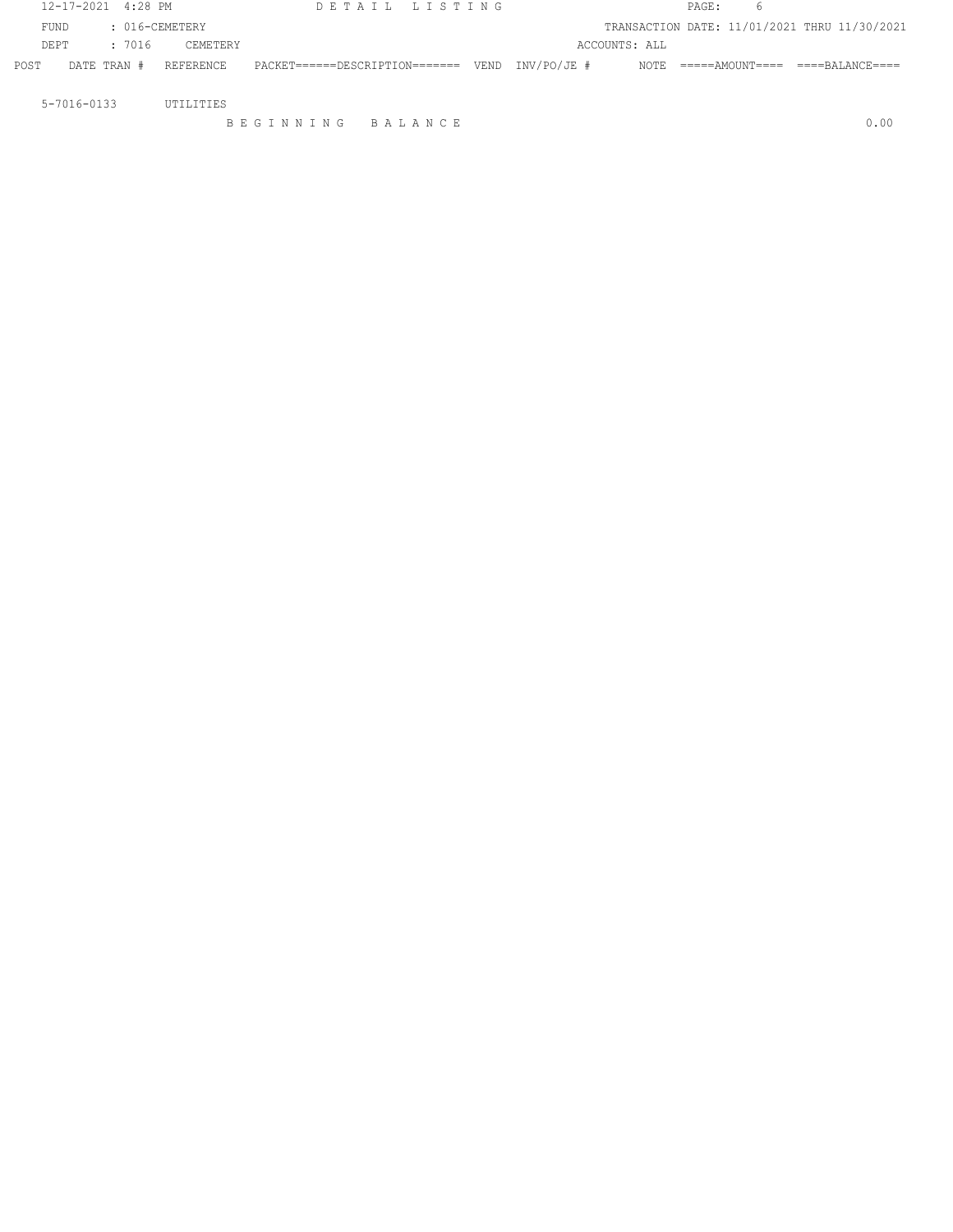|                   | 12-17-2021 4:28 PM |                | DETAIL LISTING                                   |  |               | PAGE: | 6                                            |      |
|-------------------|--------------------|----------------|--------------------------------------------------|--|---------------|-------|----------------------------------------------|------|
| FUND              |                    | : 016-CEMETERY |                                                  |  |               |       | TRANSACTION DATE: 11/01/2021 THRU 11/30/2021 |      |
| DE PT             | : 7016             | CEMETERY       |                                                  |  | ACCOUNTS: ALL |       |                                              |      |
| POST              | DATE TRAN #        | REFERENCE      | $PACKET-----PESCRIPTION-----$ VEND $INV/PO/JE #$ |  |               |       | NOTE =====AMOUNT==== ====BALANCE====         |      |
|                   |                    |                |                                                  |  |               |       |                                              |      |
| $5 - 7016 - 0133$ |                    | UTILITIES      |                                                  |  |               |       |                                              |      |
|                   |                    |                | BEGINNING BALANCE                                |  |               |       |                                              | 0.00 |